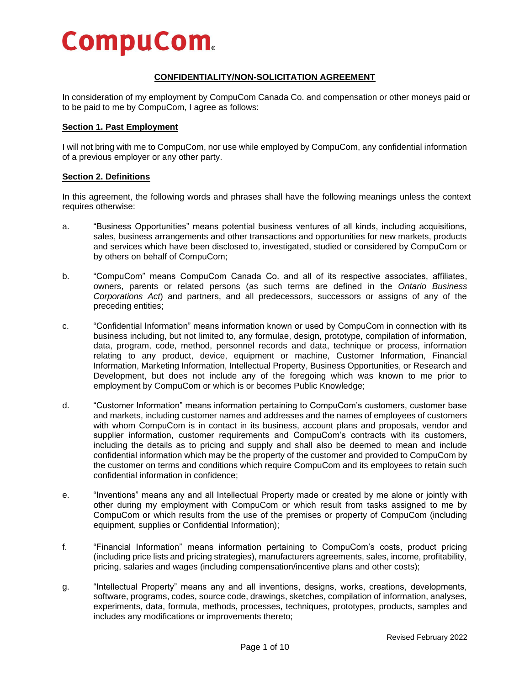# **CompuCom.**

# **CONFIDENTIALITY/NON-SOLICITATION AGREEMENT**

In consideration of my employment by CompuCom Canada Co. and compensation or other moneys paid or to be paid to me by CompuCom, I agree as follows:

## **Section 1. Past Employment**

I will not bring with me to CompuCom, nor use while employed by CompuCom, any confidential information of a previous employer or any other party.

## **Section 2. Definitions**

In this agreement, the following words and phrases shall have the following meanings unless the context requires otherwise:

- a. "Business Opportunities" means potential business ventures of all kinds, including acquisitions, sales, business arrangements and other transactions and opportunities for new markets, products and services which have been disclosed to, investigated, studied or considered by CompuCom or by others on behalf of CompuCom;
- b. "CompuCom" means CompuCom Canada Co. and all of its respective associates, affiliates, owners, parents or related persons (as such terms are defined in the *Ontario Business Corporations Act*) and partners, and all predecessors, successors or assigns of any of the preceding entities;
- c. "Confidential Information" means information known or used by CompuCom in connection with its business including, but not limited to, any formulae, design, prototype, compilation of information, data, program, code, method, personnel records and data, technique or process, information relating to any product, device, equipment or machine, Customer Information, Financial Information, Marketing Information, Intellectual Property, Business Opportunities, or Research and Development, but does not include any of the foregoing which was known to me prior to employment by CompuCom or which is or becomes Public Knowledge;
- d. "Customer Information" means information pertaining to CompuCom's customers, customer base and markets, including customer names and addresses and the names of employees of customers with whom CompuCom is in contact in its business, account plans and proposals, vendor and supplier information, customer requirements and CompuCom's contracts with its customers, including the details as to pricing and supply and shall also be deemed to mean and include confidential information which may be the property of the customer and provided to CompuCom by the customer on terms and conditions which require CompuCom and its employees to retain such confidential information in confidence;
- e. "Inventions" means any and all Intellectual Property made or created by me alone or jointly with other during my employment with CompuCom or which result from tasks assigned to me by CompuCom or which results from the use of the premises or property of CompuCom (including equipment, supplies or Confidential Information);
- f. "Financial Information" means information pertaining to CompuCom's costs, product pricing (including price lists and pricing strategies), manufacturers agreements, sales, income, profitability, pricing, salaries and wages (including compensation/incentive plans and other costs);
- g. "Intellectual Property" means any and all inventions, designs, works, creations, developments, software, programs, codes, source code, drawings, sketches, compilation of information, analyses, experiments, data, formula, methods, processes, techniques, prototypes, products, samples and includes any modifications or improvements thereto;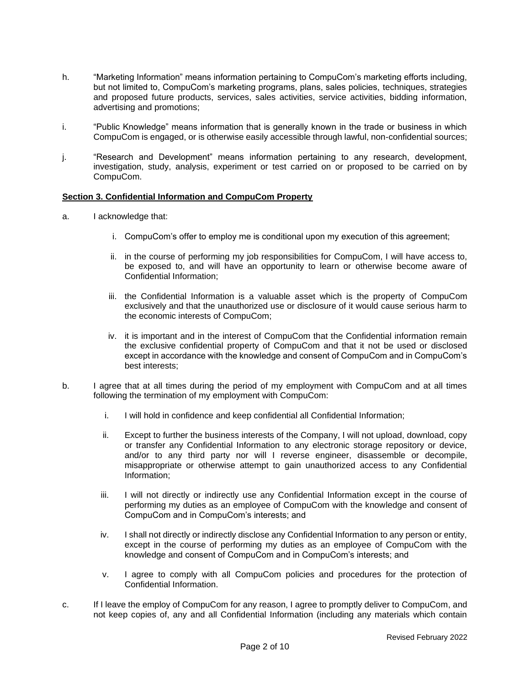- h. "Marketing Information" means information pertaining to CompuCom's marketing efforts including, but not limited to, CompuCom's marketing programs, plans, sales policies, techniques, strategies and proposed future products, services, sales activities, service activities, bidding information, advertising and promotions;
- i. "Public Knowledge" means information that is generally known in the trade or business in which CompuCom is engaged, or is otherwise easily accessible through lawful, non-confidential sources;
- j. "Research and Development" means information pertaining to any research, development, investigation, study, analysis, experiment or test carried on or proposed to be carried on by CompuCom.

# **Section 3. Confidential Information and CompuCom Property**

- a. I acknowledge that:
	- i. CompuCom's offer to employ me is conditional upon my execution of this agreement;
	- ii. in the course of performing my job responsibilities for CompuCom, I will have access to, be exposed to, and will have an opportunity to learn or otherwise become aware of Confidential Information;
	- iii. the Confidential Information is a valuable asset which is the property of CompuCom exclusively and that the unauthorized use or disclosure of it would cause serious harm to the economic interests of CompuCom;
	- iv. it is important and in the interest of CompuCom that the Confidential information remain the exclusive confidential property of CompuCom and that it not be used or disclosed except in accordance with the knowledge and consent of CompuCom and in CompuCom's best interests;
- b. I agree that at all times during the period of my employment with CompuCom and at all times following the termination of my employment with CompuCom:
	- i. I will hold in confidence and keep confidential all Confidential Information;
	- ii. Except to further the business interests of the Company, I will not upload, download, copy or transfer any Confidential Information to any electronic storage repository or device, and/or to any third party nor will I reverse engineer, disassemble or decompile, misappropriate or otherwise attempt to gain unauthorized access to any Confidential Information;
	- iii. I will not directly or indirectly use any Confidential Information except in the course of performing my duties as an employee of CompuCom with the knowledge and consent of CompuCom and in CompuCom's interests; and
	- iv. I shall not directly or indirectly disclose any Confidential Information to any person or entity, except in the course of performing my duties as an employee of CompuCom with the knowledge and consent of CompuCom and in CompuCom's interests; and
	- v. I agree to comply with all CompuCom policies and procedures for the protection of Confidential Information.
- c. If I leave the employ of CompuCom for any reason, I agree to promptly deliver to CompuCom, and not keep copies of, any and all Confidential Information (including any materials which contain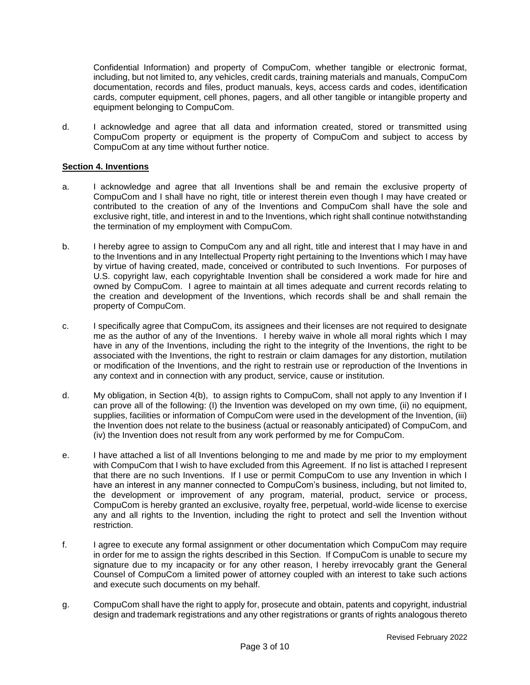Confidential Information) and property of CompuCom, whether tangible or electronic format, including, but not limited to, any vehicles, credit cards, training materials and manuals, CompuCom documentation, records and files, product manuals, keys, access cards and codes, identification cards, computer equipment, cell phones, pagers, and all other tangible or intangible property and equipment belonging to CompuCom.

d. I acknowledge and agree that all data and information created, stored or transmitted using CompuCom property or equipment is the property of CompuCom and subject to access by CompuCom at any time without further notice.

# **Section 4. Inventions**

- a. I acknowledge and agree that all Inventions shall be and remain the exclusive property of CompuCom and I shall have no right, title or interest therein even though I may have created or contributed to the creation of any of the Inventions and CompuCom shall have the sole and exclusive right, title, and interest in and to the Inventions, which right shall continue notwithstanding the termination of my employment with CompuCom.
- b. I hereby agree to assign to CompuCom any and all right, title and interest that I may have in and to the Inventions and in any Intellectual Property right pertaining to the Inventions which I may have by virtue of having created, made, conceived or contributed to such Inventions. For purposes of U.S. copyright law, each copyrightable Invention shall be considered a work made for hire and owned by CompuCom. I agree to maintain at all times adequate and current records relating to the creation and development of the Inventions, which records shall be and shall remain the property of CompuCom.
- c. I specifically agree that CompuCom, its assignees and their licenses are not required to designate me as the author of any of the Inventions. I hereby waive in whole all moral rights which I may have in any of the Inventions, including the right to the integrity of the Inventions, the right to be associated with the Inventions, the right to restrain or claim damages for any distortion, mutilation or modification of the Inventions, and the right to restrain use or reproduction of the Inventions in any context and in connection with any product, service, cause or institution.
- d. My obligation, in Section 4(b), to assign rights to CompuCom, shall not apply to any Invention if I can prove all of the following: (I) the Invention was developed on my own time, (ii) no equipment, supplies, facilities or information of CompuCom were used in the development of the Invention, (iii) the Invention does not relate to the business (actual or reasonably anticipated) of CompuCom, and (iv) the Invention does not result from any work performed by me for CompuCom.
- e. I have attached a list of all Inventions belonging to me and made by me prior to my employment with CompuCom that I wish to have excluded from this Agreement. If no list is attached I represent that there are no such Inventions. If I use or permit CompuCom to use any Invention in which I have an interest in any manner connected to CompuCom's business, including, but not limited to, the development or improvement of any program, material, product, service or process, CompuCom is hereby granted an exclusive, royalty free, perpetual, world-wide license to exercise any and all rights to the Invention, including the right to protect and sell the Invention without restriction.
- f. I agree to execute any formal assignment or other documentation which CompuCom may require in order for me to assign the rights described in this Section. If CompuCom is unable to secure my signature due to my incapacity or for any other reason, I hereby irrevocably grant the General Counsel of CompuCom a limited power of attorney coupled with an interest to take such actions and execute such documents on my behalf.
- g. CompuCom shall have the right to apply for, prosecute and obtain, patents and copyright, industrial design and trademark registrations and any other registrations or grants of rights analogous thereto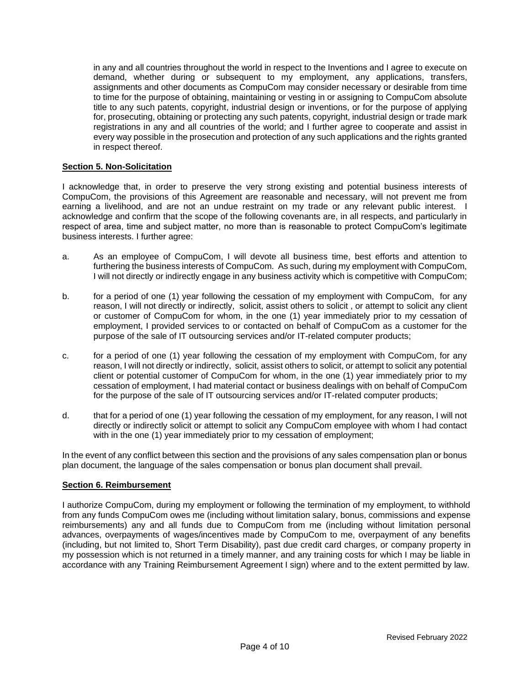in any and all countries throughout the world in respect to the Inventions and I agree to execute on demand, whether during or subsequent to my employment, any applications, transfers, assignments and other documents as CompuCom may consider necessary or desirable from time to time for the purpose of obtaining, maintaining or vesting in or assigning to CompuCom absolute title to any such patents, copyright, industrial design or inventions, or for the purpose of applying for, prosecuting, obtaining or protecting any such patents, copyright, industrial design or trade mark registrations in any and all countries of the world; and I further agree to cooperate and assist in every way possible in the prosecution and protection of any such applications and the rights granted in respect thereof.

# **Section 5. Non-Solicitation**

I acknowledge that, in order to preserve the very strong existing and potential business interests of CompuCom, the provisions of this Agreement are reasonable and necessary, will not prevent me from earning a livelihood, and are not an undue restraint on my trade or any relevant public interest. I acknowledge and confirm that the scope of the following covenants are, in all respects, and particularly in respect of area, time and subject matter, no more than is reasonable to protect CompuCom's legitimate business interests. I further agree:

- a. As an employee of CompuCom, I will devote all business time, best efforts and attention to furthering the business interests of CompuCom. As such, during my employment with CompuCom, I will not directly or indirectly engage in any business activity which is competitive with CompuCom;
- b. for a period of one (1) year following the cessation of my employment with CompuCom, for any reason, I will not directly or indirectly, solicit, assist others to solicit , or attempt to solicit any client or customer of CompuCom for whom, in the one (1) year immediately prior to my cessation of employment, I provided services to or contacted on behalf of CompuCom as a customer for the purpose of the sale of IT outsourcing services and/or IT-related computer products;
- c. for a period of one (1) year following the cessation of my employment with CompuCom, for any reason, I will not directly or indirectly, solicit, assist others to solicit, or attempt to solicit any potential client or potential customer of CompuCom for whom, in the one (1) year immediately prior to my cessation of employment, I had material contact or business dealings with on behalf of CompuCom for the purpose of the sale of IT outsourcing services and/or IT-related computer products;
- d. that for a period of one (1) year following the cessation of my employment, for any reason, I will not directly or indirectly solicit or attempt to solicit any CompuCom employee with whom I had contact with in the one (1) year immediately prior to my cessation of employment;

In the event of any conflict between this section and the provisions of any sales compensation plan or bonus plan document, the language of the sales compensation or bonus plan document shall prevail.

## **Section 6. Reimbursement**

I authorize CompuCom, during my employment or following the termination of my employment, to withhold from any funds CompuCom owes me (including without limitation salary, bonus, commissions and expense reimbursements) any and all funds due to CompuCom from me (including without limitation personal advances, overpayments of wages/incentives made by CompuCom to me, overpayment of any benefits (including, but not limited to, Short Term Disability), past due credit card charges, or company property in my possession which is not returned in a timely manner, and any training costs for which I may be liable in accordance with any Training Reimbursement Agreement I sign) where and to the extent permitted by law.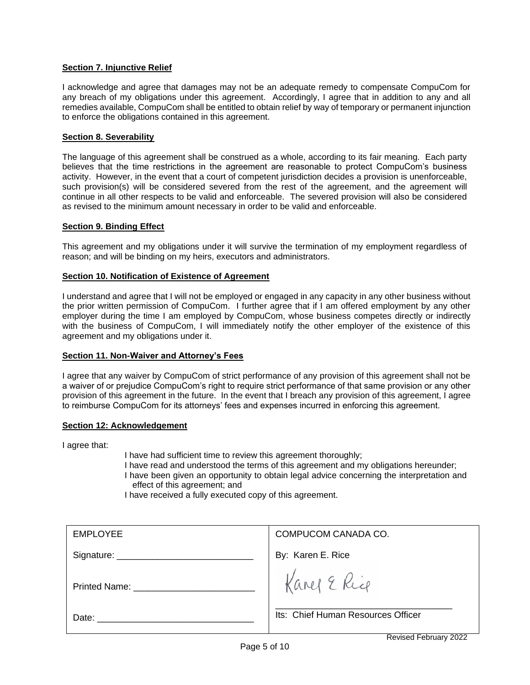# **Section 7. Injunctive Relief**

I acknowledge and agree that damages may not be an adequate remedy to compensate CompuCom for any breach of my obligations under this agreement. Accordingly, I agree that in addition to any and all remedies available, CompuCom shall be entitled to obtain relief by way of temporary or permanent injunction to enforce the obligations contained in this agreement.

## **Section 8. Severability**

The language of this agreement shall be construed as a whole, according to its fair meaning. Each party believes that the time restrictions in the agreement are reasonable to protect CompuCom's business activity. However, in the event that a court of competent jurisdiction decides a provision is unenforceable, such provision(s) will be considered severed from the rest of the agreement, and the agreement will continue in all other respects to be valid and enforceable. The severed provision will also be considered as revised to the minimum amount necessary in order to be valid and enforceable.

# **Section 9. Binding Effect**

This agreement and my obligations under it will survive the termination of my employment regardless of reason; and will be binding on my heirs, executors and administrators.

# **Section 10. Notification of Existence of Agreement**

I understand and agree that I will not be employed or engaged in any capacity in any other business without the prior written permission of CompuCom. I further agree that if I am offered employment by any other employer during the time I am employed by CompuCom, whose business competes directly or indirectly with the business of CompuCom, I will immediately notify the other employer of the existence of this agreement and my obligations under it.

## **Section 11. Non-Waiver and Attorney's Fees**

I agree that any waiver by CompuCom of strict performance of any provision of this agreement shall not be a waiver of or prejudice CompuCom's right to require strict performance of that same provision or any other provision of this agreement in the future. In the event that I breach any provision of this agreement, I agree to reimburse CompuCom for its attorneys' fees and expenses incurred in enforcing this agreement.

## **Section 12: Acknowledgement**

I agree that:

I have had sufficient time to review this agreement thoroughly;

- I have read and understood the terms of this agreement and my obligations hereunder; I have been given an opportunity to obtain legal advice concerning the interpretation and effect of this agreement; and
- I have received a fully executed copy of this agreement.

| <b>EMPLOYEE</b>                    | COMPUCOM CANADA CO.                |
|------------------------------------|------------------------------------|
|                                    | By: Karen E. Rice                  |
| Printed Name: ____________________ | Karel E Rice                       |
| Date:                              | Its: Chief Human Resources Officer |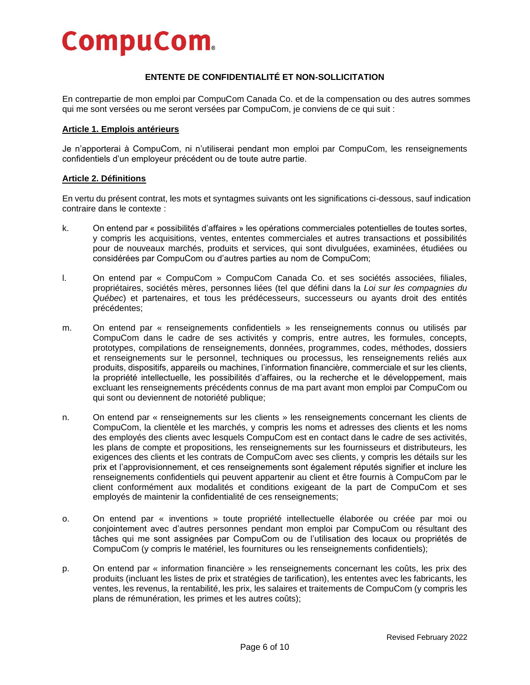# **CompuCom.**

# **ENTENTE DE CONFIDENTIALITÉ ET NON-SOLLICITATION**

En contrepartie de mon emploi par CompuCom Canada Co. et de la compensation ou des autres sommes qui me sont versées ou me seront versées par CompuCom, je conviens de ce qui suit :

### **Article 1. Emplois antérieurs**

Je n'apporterai à CompuCom, ni n'utiliserai pendant mon emploi par CompuCom, les renseignements confidentiels d'un employeur précédent ou de toute autre partie.

## **Article 2. Définitions**

En vertu du présent contrat, les mots et syntagmes suivants ont les significations ci-dessous, sauf indication contraire dans le contexte :

- k. On entend par « possibilités d'affaires » les opérations commerciales potentielles de toutes sortes, y compris les acquisitions, ventes, ententes commerciales et autres transactions et possibilités pour de nouveaux marchés, produits et services, qui sont divulguées, examinées, étudiées ou considérées par CompuCom ou d'autres parties au nom de CompuCom;
- l. On entend par « CompuCom » CompuCom Canada Co. et ses sociétés associées, filiales, propriétaires, sociétés mères, personnes liées (tel que défini dans la *Loi sur les compagnies du Québec*) et partenaires, et tous les prédécesseurs, successeurs ou ayants droit des entités précédentes;
- m. On entend par « renseignements confidentiels » les renseignements connus ou utilisés par CompuCom dans le cadre de ses activités y compris, entre autres, les formules, concepts, prototypes, compilations de renseignements, données, programmes, codes, méthodes, dossiers et renseignements sur le personnel, techniques ou processus, les renseignements reliés aux produits, dispositifs, appareils ou machines, l'information financière, commerciale et sur les clients, la propriété intellectuelle, les possibilités d'affaires, ou la recherche et le développement, mais excluant les renseignements précédents connus de ma part avant mon emploi par CompuCom ou qui sont ou deviennent de notoriété publique;
- n. On entend par « renseignements sur les clients » les renseignements concernant les clients de CompuCom, la clientèle et les marchés, y compris les noms et adresses des clients et les noms des employés des clients avec lesquels CompuCom est en contact dans le cadre de ses activités, les plans de compte et propositions, les renseignements sur les fournisseurs et distributeurs, les exigences des clients et les contrats de CompuCom avec ses clients, y compris les détails sur les prix et l'approvisionnement, et ces renseignements sont également réputés signifier et inclure les renseignements confidentiels qui peuvent appartenir au client et être fournis à CompuCom par le client conformément aux modalités et conditions exigeant de la part de CompuCom et ses employés de maintenir la confidentialité de ces renseignements;
- o. On entend par « inventions » toute propriété intellectuelle élaborée ou créée par moi ou conjointement avec d'autres personnes pendant mon emploi par CompuCom ou résultant des tâches qui me sont assignées par CompuCom ou de l'utilisation des locaux ou propriétés de CompuCom (y compris le matériel, les fournitures ou les renseignements confidentiels);
- p. On entend par « information financière » les renseignements concernant les coûts, les prix des produits (incluant les listes de prix et stratégies de tarification), les ententes avec les fabricants, les ventes, les revenus, la rentabilité, les prix, les salaires et traitements de CompuCom (y compris les plans de rémunération, les primes et les autres coûts);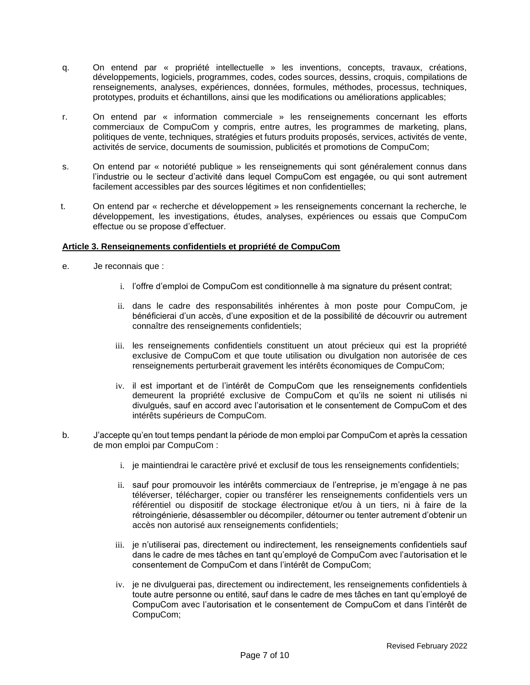- q. On entend par « propriété intellectuelle » les inventions, concepts, travaux, créations, développements, logiciels, programmes, codes, codes sources, dessins, croquis, compilations de renseignements, analyses, expériences, données, formules, méthodes, processus, techniques, prototypes, produits et échantillons, ainsi que les modifications ou améliorations applicables;
- r. On entend par « information commerciale » les renseignements concernant les efforts commerciaux de CompuCom y compris, entre autres, les programmes de marketing, plans, politiques de vente, techniques, stratégies et futurs produits proposés, services, activités de vente, activités de service, documents de soumission, publicités et promotions de CompuCom;
- s. On entend par « notoriété publique » les renseignements qui sont généralement connus dans l'industrie ou le secteur d'activité dans lequel CompuCom est engagée, ou qui sont autrement facilement accessibles par des sources légitimes et non confidentielles;
- t. On entend par « recherche et développement » les renseignements concernant la recherche, le développement, les investigations, études, analyses, expériences ou essais que CompuCom effectue ou se propose d'effectuer.

## **Article 3. Renseignements confidentiels et propriété de CompuCom**

- e. Je reconnais que :
	- i. l'offre d'emploi de CompuCom est conditionnelle à ma signature du présent contrat;
	- ii. dans le cadre des responsabilités inhérentes à mon poste pour CompuCom, je bénéficierai d'un accès, d'une exposition et de la possibilité de découvrir ou autrement connaître des renseignements confidentiels;
	- iii. les renseignements confidentiels constituent un atout précieux qui est la propriété exclusive de CompuCom et que toute utilisation ou divulgation non autorisée de ces renseignements perturberait gravement les intérêts économiques de CompuCom;
	- iv. il est important et de l'intérêt de CompuCom que les renseignements confidentiels demeurent la propriété exclusive de CompuCom et qu'ils ne soient ni utilisés ni divulgués, sauf en accord avec l'autorisation et le consentement de CompuCom et des intérêts supérieurs de CompuCom.
- b. J'accepte qu'en tout temps pendant la période de mon emploi par CompuCom et après la cessation de mon emploi par CompuCom :
	- i. je maintiendrai le caractère privé et exclusif de tous les renseignements confidentiels;
	- ii. sauf pour promouvoir les intérêts commerciaux de l'entreprise, je m'engage à ne pas téléverser, télécharger, copier ou transférer les renseignements confidentiels vers un référentiel ou dispositif de stockage électronique et/ou à un tiers, ni à faire de la rétroingénierie, désassembler ou décompiler, détourner ou tenter autrement d'obtenir un accès non autorisé aux renseignements confidentiels;
	- iii. je n'utiliserai pas, directement ou indirectement, les renseignements confidentiels sauf dans le cadre de mes tâches en tant qu'employé de CompuCom avec l'autorisation et le consentement de CompuCom et dans l'intérêt de CompuCom;
	- iv. je ne divulguerai pas, directement ou indirectement, les renseignements confidentiels à toute autre personne ou entité, sauf dans le cadre de mes tâches en tant qu'employé de CompuCom avec l'autorisation et le consentement de CompuCom et dans l'intérêt de CompuCom;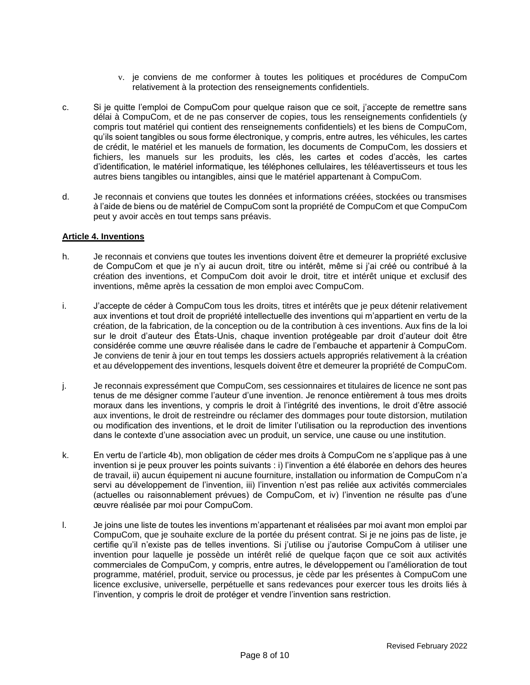- v. je conviens de me conformer à toutes les politiques et procédures de CompuCom relativement à la protection des renseignements confidentiels.
- c. Si je quitte l'emploi de CompuCom pour quelque raison que ce soit, j'accepte de remettre sans délai à CompuCom, et de ne pas conserver de copies, tous les renseignements confidentiels (y compris tout matériel qui contient des renseignements confidentiels) et les biens de CompuCom, qu'ils soient tangibles ou sous forme électronique, y compris, entre autres, les véhicules, les cartes de crédit, le matériel et les manuels de formation, les documents de CompuCom, les dossiers et fichiers, les manuels sur les produits, les clés, les cartes et codes d'accès, les cartes d'identification, le matériel informatique, les téléphones cellulaires, les téléavertisseurs et tous les autres biens tangibles ou intangibles, ainsi que le matériel appartenant à CompuCom.
- d. Je reconnais et conviens que toutes les données et informations créées, stockées ou transmises à l'aide de biens ou de matériel de CompuCom sont la propriété de CompuCom et que CompuCom peut y avoir accès en tout temps sans préavis.

#### **Article 4. Inventions**

- h. Je reconnais et conviens que toutes les inventions doivent être et demeurer la propriété exclusive de CompuCom et que je n'y ai aucun droit, titre ou intérêt, même si j'ai créé ou contribué à la création des inventions, et CompuCom doit avoir le droit, titre et intérêt unique et exclusif des inventions, même après la cessation de mon emploi avec CompuCom.
- i. J'accepte de céder à CompuCom tous les droits, titres et intérêts que je peux détenir relativement aux inventions et tout droit de propriété intellectuelle des inventions qui m'appartient en vertu de la création, de la fabrication, de la conception ou de la contribution à ces inventions. Aux fins de la loi sur le droit d'auteur des États-Unis, chaque invention protégeable par droit d'auteur doit être considérée comme une œuvre réalisée dans le cadre de l'embauche et appartenir à CompuCom. Je conviens de tenir à jour en tout temps les dossiers actuels appropriés relativement à la création et au développement des inventions, lesquels doivent être et demeurer la propriété de CompuCom.
- j. Je reconnais expressément que CompuCom, ses cessionnaires et titulaires de licence ne sont pas tenus de me désigner comme l'auteur d'une invention. Je renonce entièrement à tous mes droits moraux dans les inventions, y compris le droit à l'intégrité des inventions, le droit d'être associé aux inventions, le droit de restreindre ou réclamer des dommages pour toute distorsion, mutilation ou modification des inventions, et le droit de limiter l'utilisation ou la reproduction des inventions dans le contexte d'une association avec un produit, un service, une cause ou une institution.
- k. En vertu de l'article 4b), mon obligation de céder mes droits à CompuCom ne s'applique pas à une invention si je peux prouver les points suivants : i) l'invention a été élaborée en dehors des heures de travail, ii) aucun équipement ni aucune fourniture, installation ou information de CompuCom n'a servi au développement de l'invention, iii) l'invention n'est pas reliée aux activités commerciales (actuelles ou raisonnablement prévues) de CompuCom, et iv) l'invention ne résulte pas d'une œuvre réalisée par moi pour CompuCom.
- l. Je joins une liste de toutes les inventions m'appartenant et réalisées par moi avant mon emploi par CompuCom, que je souhaite exclure de la portée du présent contrat. Si je ne joins pas de liste, je certifie qu'il n'existe pas de telles inventions. Si j'utilise ou j'autorise CompuCom à utiliser une invention pour laquelle je possède un intérêt relié de quelque façon que ce soit aux activités commerciales de CompuCom, y compris, entre autres, le développement ou l'amélioration de tout programme, matériel, produit, service ou processus, je cède par les présentes à CompuCom une licence exclusive, universelle, perpétuelle et sans redevances pour exercer tous les droits liés à l'invention, y compris le droit de protéger et vendre l'invention sans restriction.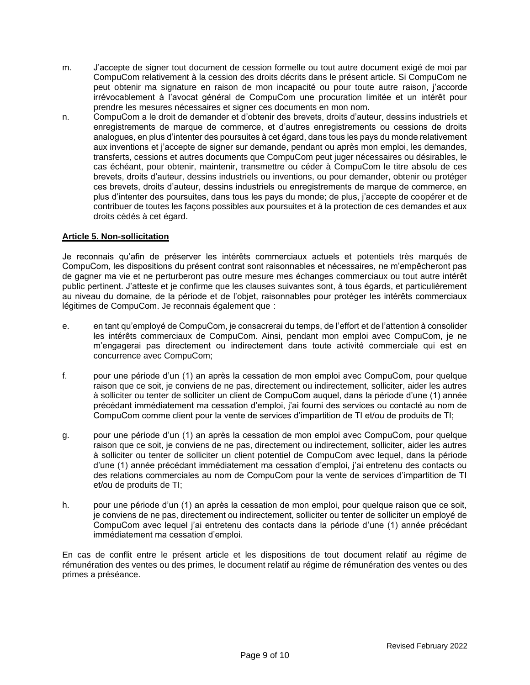- m. J'accepte de signer tout document de cession formelle ou tout autre document exigé de moi par CompuCom relativement à la cession des droits décrits dans le présent article. Si CompuCom ne peut obtenir ma signature en raison de mon incapacité ou pour toute autre raison, j'accorde irrévocablement à l'avocat général de CompuCom une procuration limitée et un intérêt pour prendre les mesures nécessaires et signer ces documents en mon nom.
- n. CompuCom a le droit de demander et d'obtenir des brevets, droits d'auteur, dessins industriels et enregistrements de marque de commerce, et d'autres enregistrements ou cessions de droits analogues, en plus d'intenter des poursuites à cet égard, dans tous les pays du monde relativement aux inventions et j'accepte de signer sur demande, pendant ou après mon emploi, les demandes, transferts, cessions et autres documents que CompuCom peut juger nécessaires ou désirables, le cas échéant, pour obtenir, maintenir, transmettre ou céder à CompuCom le titre absolu de ces brevets, droits d'auteur, dessins industriels ou inventions, ou pour demander, obtenir ou protéger ces brevets, droits d'auteur, dessins industriels ou enregistrements de marque de commerce, en plus d'intenter des poursuites, dans tous les pays du monde; de plus, j'accepte de coopérer et de contribuer de toutes les façons possibles aux poursuites et à la protection de ces demandes et aux droits cédés à cet égard.

# **Article 5. Non-sollicitation**

Je reconnais qu'afin de préserver les intérêts commerciaux actuels et potentiels très marqués de CompuCom, les dispositions du présent contrat sont raisonnables et nécessaires, ne m'empêcheront pas de gagner ma vie et ne perturberont pas outre mesure mes échanges commerciaux ou tout autre intérêt public pertinent. J'atteste et je confirme que les clauses suivantes sont, à tous égards, et particulièrement au niveau du domaine, de la période et de l'objet, raisonnables pour protéger les intérêts commerciaux légitimes de CompuCom. Je reconnais également que :

- e. en tant qu'employé de CompuCom, je consacrerai du temps, de l'effort et de l'attention à consolider les intérêts commerciaux de CompuCom. Ainsi, pendant mon emploi avec CompuCom, je ne m'engagerai pas directement ou indirectement dans toute activité commerciale qui est en concurrence avec CompuCom;
- f. pour une période d'un (1) an après la cessation de mon emploi avec CompuCom, pour quelque raison que ce soit, je conviens de ne pas, directement ou indirectement, solliciter, aider les autres à solliciter ou tenter de solliciter un client de CompuCom auquel, dans la période d'une (1) année précédant immédiatement ma cessation d'emploi, j'ai fourni des services ou contacté au nom de CompuCom comme client pour la vente de services d'impartition de TI et/ou de produits de TI;
- g. pour une période d'un (1) an après la cessation de mon emploi avec CompuCom, pour quelque raison que ce soit, je conviens de ne pas, directement ou indirectement, solliciter, aider les autres à solliciter ou tenter de solliciter un client potentiel de CompuCom avec lequel, dans la période d'une (1) année précédant immédiatement ma cessation d'emploi, j'ai entretenu des contacts ou des relations commerciales au nom de CompuCom pour la vente de services d'impartition de TI et/ou de produits de TI;
- h. pour une période d'un (1) an après la cessation de mon emploi, pour quelque raison que ce soit, je conviens de ne pas, directement ou indirectement, solliciter ou tenter de solliciter un employé de CompuCom avec lequel j'ai entretenu des contacts dans la période d'une (1) année précédant immédiatement ma cessation d'emploi.

En cas de conflit entre le présent article et les dispositions de tout document relatif au régime de rémunération des ventes ou des primes, le document relatif au régime de rémunération des ventes ou des primes a préséance.